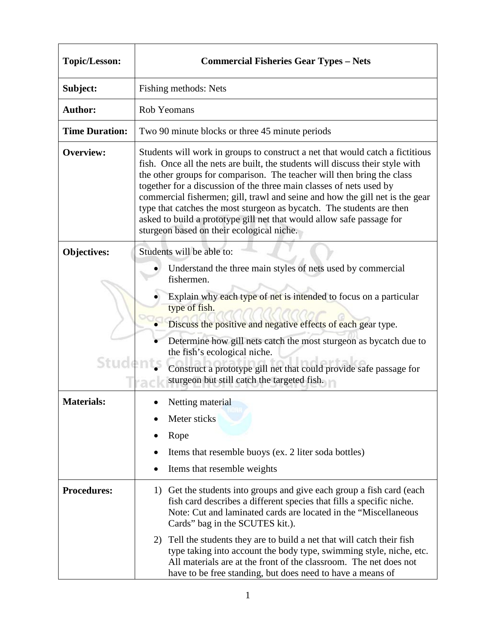| <b>Topic/Lesson:</b>  | <b>Commercial Fisheries Gear Types - Nets</b>                                                                                                                                                                                                                                                                                                                                                                                                                                                                                                                                                  |
|-----------------------|------------------------------------------------------------------------------------------------------------------------------------------------------------------------------------------------------------------------------------------------------------------------------------------------------------------------------------------------------------------------------------------------------------------------------------------------------------------------------------------------------------------------------------------------------------------------------------------------|
| Subject:              | Fishing methods: Nets                                                                                                                                                                                                                                                                                                                                                                                                                                                                                                                                                                          |
| <b>Author:</b>        | Rob Yeomans                                                                                                                                                                                                                                                                                                                                                                                                                                                                                                                                                                                    |
| <b>Time Duration:</b> | Two 90 minute blocks or three 45 minute periods                                                                                                                                                                                                                                                                                                                                                                                                                                                                                                                                                |
| <b>Overview:</b>      | Students will work in groups to construct a net that would catch a fictitious<br>fish. Once all the nets are built, the students will discuss their style with<br>the other groups for comparison. The teacher will then bring the class<br>together for a discussion of the three main classes of nets used by<br>commercial fishermen; gill, trawl and seine and how the gill net is the gear<br>type that catches the most sturgeon as bycatch. The students are then<br>asked to build a prototype gill net that would allow safe passage for<br>sturgeon based on their ecological niche. |
| <b>Objectives:</b>    | Students will be able to:                                                                                                                                                                                                                                                                                                                                                                                                                                                                                                                                                                      |
| Stude                 | Understand the three main styles of nets used by commercial<br>fishermen.<br>Explain why each type of net is intended to focus on a particular<br>type of fish.<br>Discuss the positive and negative effects of each gear type.<br>Determine how gill nets catch the most sturgeon as bycatch due to<br>the fish's ecological niche.<br>Construct a prototype gill net that could provide safe passage for<br>sturgeon but still catch the targeted fish.                                                                                                                                      |
| <b>Materials:</b>     | Netting material                                                                                                                                                                                                                                                                                                                                                                                                                                                                                                                                                                               |
|                       | Meter sticks                                                                                                                                                                                                                                                                                                                                                                                                                                                                                                                                                                                   |
|                       | Rope                                                                                                                                                                                                                                                                                                                                                                                                                                                                                                                                                                                           |
|                       | Items that resemble buoys (ex. 2 liter soda bottles)<br>Items that resemble weights                                                                                                                                                                                                                                                                                                                                                                                                                                                                                                            |
| <b>Procedures:</b>    | 1) Get the students into groups and give each group a fish card (each<br>fish card describes a different species that fills a specific niche.<br>Note: Cut and laminated cards are located in the "Miscellaneous"<br>Cards" bag in the SCUTES kit.).<br>2) Tell the students they are to build a net that will catch their fish                                                                                                                                                                                                                                                                |
|                       | type taking into account the body type, swimming style, niche, etc.<br>All materials are at the front of the classroom. The net does not<br>have to be free standing, but does need to have a means of                                                                                                                                                                                                                                                                                                                                                                                         |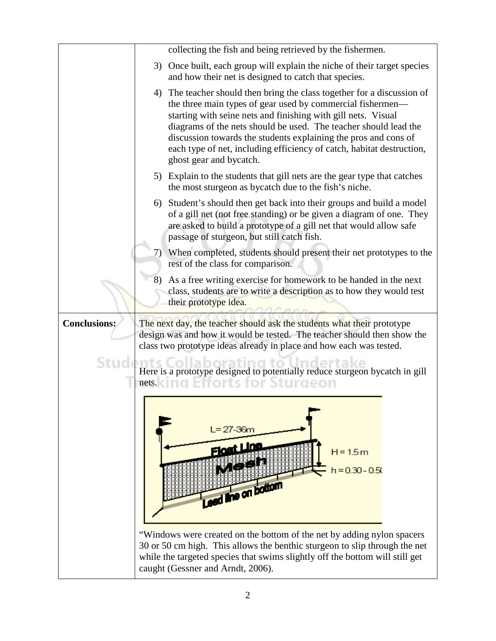| collecting the fish and being retrieved by the fishermen.                                                                                                                                                                                                                                                                                                                                                                                         |
|---------------------------------------------------------------------------------------------------------------------------------------------------------------------------------------------------------------------------------------------------------------------------------------------------------------------------------------------------------------------------------------------------------------------------------------------------|
| 3) Once built, each group will explain the niche of their target species<br>and how their net is designed to catch that species.                                                                                                                                                                                                                                                                                                                  |
| 4) The teacher should then bring the class together for a discussion of<br>the three main types of gear used by commercial fishermen—<br>starting with seine nets and finishing with gill nets. Visual<br>diagrams of the nets should be used. The teacher should lead the<br>discussion towards the students explaining the pros and cons of<br>each type of net, including efficiency of catch, habitat destruction,<br>ghost gear and bycatch. |
| 5) Explain to the students that gill nets are the gear type that catches<br>the most sturgeon as bycatch due to the fish's niche.                                                                                                                                                                                                                                                                                                                 |
| Student's should then get back into their groups and build a model<br>6)<br>of a gill net (not free standing) or be given a diagram of one. They<br>are asked to build a prototype of a gill net that would allow safe<br>passage of sturgeon, but still catch fish.                                                                                                                                                                              |
| 7) When completed, students should present their net prototypes to the<br>rest of the class for comparison.                                                                                                                                                                                                                                                                                                                                       |
| As a free writing exercise for homework to be handed in the next<br>8)<br>class, students are to write a description as to how they would test<br>their prototype idea.                                                                                                                                                                                                                                                                           |
| The next day, the teacher should ask the students what their prototype<br>design was and how it would be tested. The teacher should then show the<br>class two prototype ideas already in place and how each was tested.                                                                                                                                                                                                                          |
| Here is a prototype designed to potentially reduce sturgeon bycatch in gill<br>orts for Sturgeon<br>nets.                                                                                                                                                                                                                                                                                                                                         |
| $L = 27 - 36m$<br>$H = 1.5m$<br>$h = 0.30 - 0.50$<br>Lead line on bottom<br>"Windows were created on the bottom of the net by adding nylon spacers<br>30 or 50 cm high. This allows the benthic sturgeon to slip through the net<br>while the targeted species that swims slightly off the bottom will still get<br>caught (Gessner and Arndt, 2006).                                                                                             |
|                                                                                                                                                                                                                                                                                                                                                                                                                                                   |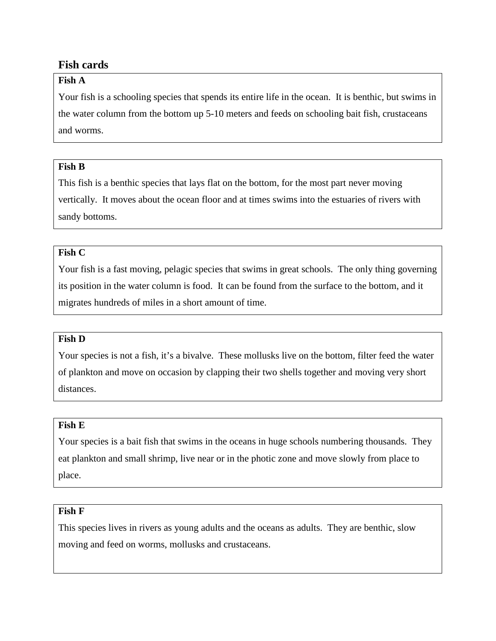# **Fish cards**

### **Fish A**

Your fish is a schooling species that spends its entire life in the ocean. It is benthic, but swims in the water column from the bottom up 5-10 meters and feeds on schooling bait fish, crustaceans and worms.

### **Fish B**

This fish is a benthic species that lays flat on the bottom, for the most part never moving vertically. It moves about the ocean floor and at times swims into the estuaries of rivers with sandy bottoms.

#### **Fish C**

Your fish is a fast moving, pelagic species that swims in great schools. The only thing governing its position in the water column is food. It can be found from the surface to the bottom, and it migrates hundreds of miles in a short amount of time.

### **Fish D**

Your species is not a fish, it's a bivalve. These mollusks live on the bottom, filter feed the water of plankton and move on occasion by clapping their two shells together and moving very short distances.

### **Fish E**

Your species is a bait fish that swims in the oceans in huge schools numbering thousands. They eat plankton and small shrimp, live near or in the photic zone and move slowly from place to place.

#### **Fish F**

This species lives in rivers as young adults and the oceans as adults. They are benthic, slow moving and feed on worms, mollusks and crustaceans.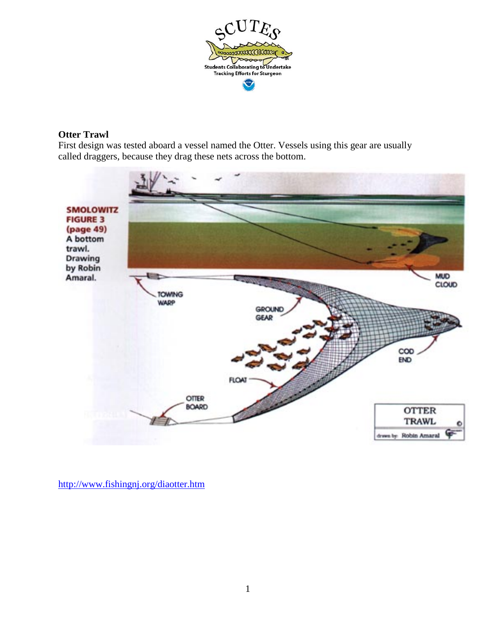

#### **Otter Trawl**

First design was tested aboard a vessel named the Otter. Vessels using this gear are usually called draggers, because they drag these nets across the bottom.



<http://www.fishingnj.org/diaotter.htm>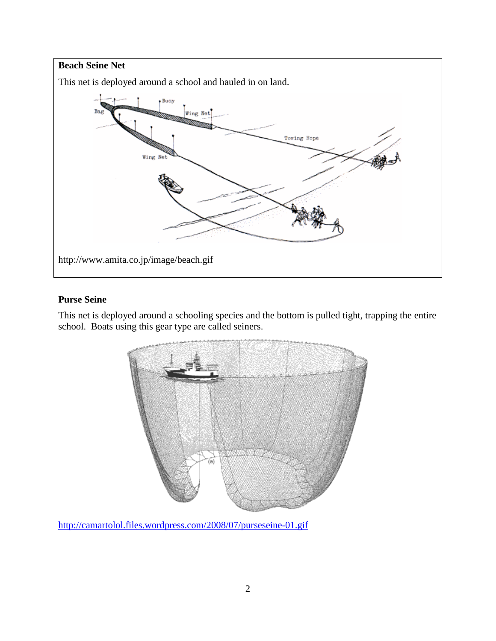

# **Purse Seine**

This net is deployed around a schooling species and the bottom is pulled tight, trapping the entire school. Boats using this gear type are called seiners.



<http://camartolol.files.wordpress.com/2008/07/purseseine-01.gif>